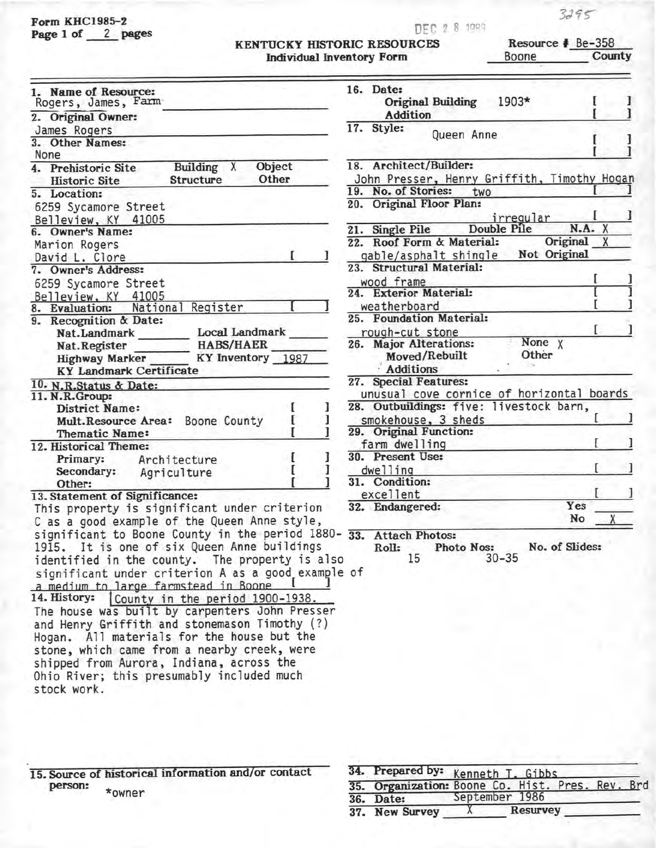**Form KHCl 985-2 Page 1 of** <u>2</u> **pages** DEC 2 8 1999

 $3295$ 

**KENTUCKY HISTORIC RESOURCES Individual Inventory Form**

Resource # Be-358<br>Boone Cour **County** 

| 1. Name of Resource:<br>Rogers, James, Farm        | 16. Date:<br>1903*<br><b>Original Building</b> |
|----------------------------------------------------|------------------------------------------------|
| 2. Original Owner:                                 | Addition                                       |
| James Rogers                                       | 17. Style:<br>Queen Anne                       |
| 3. Other Names:                                    |                                                |
| None                                               |                                                |
| Object<br>Building<br>X<br>4. Prehistoric Site     | 18. Architect/Builder:                         |
| Other<br><b>Structure</b><br><b>Historic Site</b>  | John Presser, Henry Griffith, Timothy Hogan    |
| 5. Location:                                       | 19. No. of Stories:<br>two                     |
| 6259 Sycamore Street                               | 20. Original Floor Plan:                       |
| Belleview, KY 41005                                | irregular                                      |
| 6. Owner's Name:                                   | Double Pile<br>N.A. X<br>21. Single Pile       |
| Marion Rogers                                      | Original X<br>22. Roof Form & Material:        |
| David L. Clore                                     | gable/asphalt shingle Not Original             |
| 7. Owner's Address:                                | 23. Structural Material:                       |
| 6259 Sycamore Street                               | wood frame                                     |
| Belleview, KY 41005                                | 24. Exterior Material:                         |
| National Register<br><b>Evaluation:</b><br>8.      | weatherboard                                   |
| 9. Recognition & Date:                             | 25. Foundation Material:                       |
| Local Landmark<br>Nat.Landmark                     | rough-cut stone                                |
| <b>HABS/HAER</b><br>Nat.Register                   | None $x$<br>26. Major Alterations:             |
| KY Inventory 1987<br><b>Highway Marker</b>         | Other<br>Moved/Rebuilt                         |
| <b>KY Landmark Certificate</b>                     | Additions                                      |
|                                                    | 27. Special Features:                          |
| 10. N.R.Status & Date:<br>11. N.R.Group:           | unusual cove cornice of horizontal boards      |
| District Name:                                     | 28. Outbuildings: five: livestock barn,        |
| Mult. Resource Area: Boone County                  | smokehouse, 3 sheds                            |
| Thematic Name:                                     | 29. Original Function:                         |
| 12. Historical Theme:                              | farm dwelling                                  |
| Primary:<br>Architecture                           | 30. Present Use:                               |
| Secondary:                                         | dwelling                                       |
| Agriculture<br>Other:                              | 31. Condition:                                 |
| 13. Statement of Significance:                     | excellent                                      |
| This property is significant under criterion       | Yes<br>32. Endangered:                         |
| C as a good example of the Queen Anne style,       | No<br>X                                        |
| significant to Boone County in the period 1880-    |                                                |
|                                                    | 33. Attach Photos:<br>Photo Nos:               |
| 1915. It is one of six Queen Anne buildings        | No. of Slides:<br>Roll:<br>$30 - 35$<br>15     |
| identified in the county. The property is also     |                                                |
| significant under criterion A as a good example of |                                                |
| a medium to large farmstead in Boone               |                                                |
| 14. History: County in the period 1900-1938.       |                                                |
| The house was built by carpenters John Presser     |                                                |
| and Henry Griffith and stonemason Timothy (?)      |                                                |
| Hogan. All materials for the house but the         |                                                |
|                                                    |                                                |
| stone, which came from a nearby creek, were        |                                                |
| shipped from Aurora, Indiana, across the           |                                                |
| Ohio River; this presumably included much          |                                                |

| 34. Prepared by: Kenneth T. Gibbs                |                |                 |  |  |
|--------------------------------------------------|----------------|-----------------|--|--|
| 35. Organization: Boone Co. Hist. Pres. Rev. Brd |                |                 |  |  |
| 36. Date:                                        | September 1986 |                 |  |  |
| 37. New Survey                                   |                | <b>Resurvey</b> |  |  |

**15. Source of historical information and/or contact person: ^ 'owner**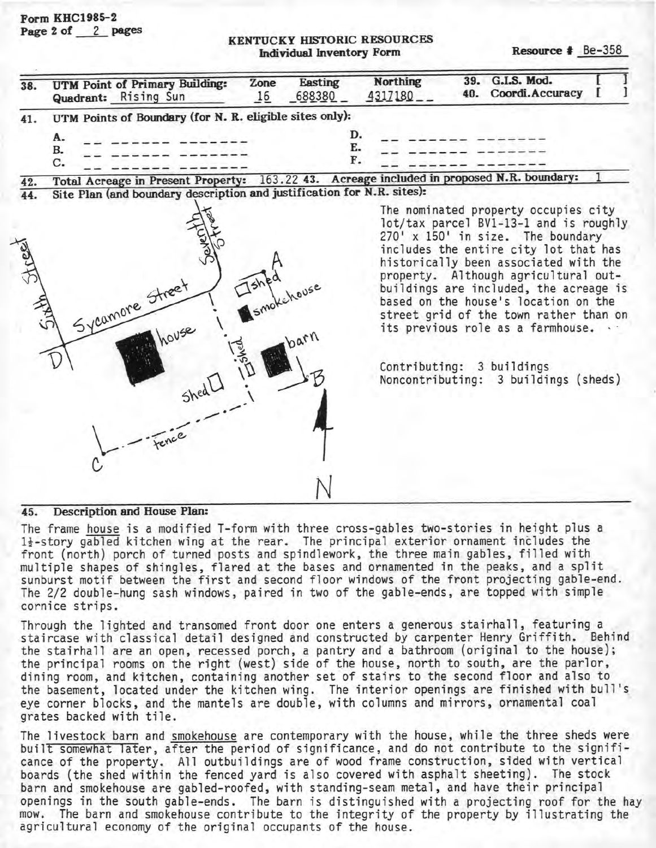**Form KHCl985-2 Page <sup>2</sup> of\_\_\_1\_ pages**

## **KENTUCKY HISTORIC RESOURCES Individual Inventory Form Resource f Be-358**

| 38. | UTM Point of Primary Building:<br>Quadrant: Rising Sun                 | Zone<br>16 | <b>Easting</b><br>688380 | <b>Northing</b><br>4317180_ | 40. | 39. G.I.S. Mod.<br>Coordi.Accuracy                                                                                                                                                                                                                                                                                                                                                                                                                                    |  |
|-----|------------------------------------------------------------------------|------------|--------------------------|-----------------------------|-----|-----------------------------------------------------------------------------------------------------------------------------------------------------------------------------------------------------------------------------------------------------------------------------------------------------------------------------------------------------------------------------------------------------------------------------------------------------------------------|--|
| 41. | UTM Points of Boundary (for N. R. eligible sites only):                |            |                          |                             |     |                                                                                                                                                                                                                                                                                                                                                                                                                                                                       |  |
|     | А.<br>В.<br>c.                                                         |            |                          | D.<br>Е.<br>F.              |     |                                                                                                                                                                                                                                                                                                                                                                                                                                                                       |  |
| 42. | Total Acreage in Present Property:                                     |            |                          |                             |     | 163.22 43. Acreage included in proposed N.R. boundary:                                                                                                                                                                                                                                                                                                                                                                                                                |  |
| 44. | Site Plan (and boundary description and justification for N.R. sites): |            |                          |                             |     |                                                                                                                                                                                                                                                                                                                                                                                                                                                                       |  |
|     | Sycamore Street<br>house                                               |            | barn                     | Contributing:               |     | The nominated property occupies city<br>lot/tax parcel BV1-13-1 and is roughly<br>270' x 150' in size. The boundary<br>includes the entire city lot that has<br>historically been associated with the<br>property. Although agricultural out-<br>buildings are included, the acreage is<br>based on the house's location on the<br>street grid of the town rather than on<br>its previous role as a farmhouse.<br>3 buildings<br>Noncontributing: 3 buildings (sheds) |  |

45. Description and House Plan:<br>The frame house is a modified T-form with three cross-gables two-stories in height plus a The frame house is a modified T-form with three cross-gables two-stories in height plus a<br>11-story gabled kitchen wing at the rear. The principal exterior ornament includes the l½-story gabled kitchen wing at the rear. The principal exterior ornament includes the<br>front (north) porch of turned posts and spindlework, the three main gables, filled with front (north) porch of turned posts and spindlework, the three main gables, filled with multiple shapes of shingles, flared at the bases and ornamented in the peaks, and <sup>a</sup> split sunburst motif between the first and second floor windows of the front projecting gable-end. The 2/2 double-hung sash windows, paired in two of the gable-ends, are topped with simple cornice strips.

Inrougn the lighted and transomed front door<br>staircase with classical detail designed and staircase with classical detail designed and<br>the stairball are an onen, recessed norch, a the stairhall are an open, recessed porch, a pantry and a bathroom (original to the nouse);<br>the princinal rooms on the right (west) side of the house, north to south, are the parlor. the principal rooms on the right (west) side of the house, north to south, are the parlor,<br>dining room, and kitchen, containing another set of stairs to the second floor and also to dining room, and kitchen, containing another the basement, located under the kitchen wing. eye corner blocks, and the mantels are double, with columns and mirrors, ornamental coal<br>grates backed with tile grates backed with tile. Through the lighted and transomed front door one enters a generous stairhall, featuring a constructed by carpenter Henry Griffith. Behind<br>pantry and a bathroom (original to the house): dining room, and kitchen, containing another set of stairs to the second floor and also to The interior openings are finished with bull's

The livestock barn and smokehouse are contemporary with the house, while the three sheds were<br>built somewhat later, after the period of significance, and do not contribute to the signifibuilt somewhat later, after the period of significance, and do not contribute to the signifi-<br>cance of the property . All outbuildings are of wood frame construction ,sided with vertical cance of the property. All outbuildings are of wood frame construction, sided with vertical<br>boards (the shod within the forced vand is also covered with asphalt sheeting). The stock boards (the shed within the fenced yard is also covered with asphalt sheeting). The stock barn and smokehouse are gabled-roofed, with standing-seam metal, and have their principal openings in the south gable-ends. The barn is distinguished with <sup>a</sup> projecting roof for the hay mow. The barn and smokehouse contribute to the integrity of the property by illustrating the agricultural economy of the original occupants of the house.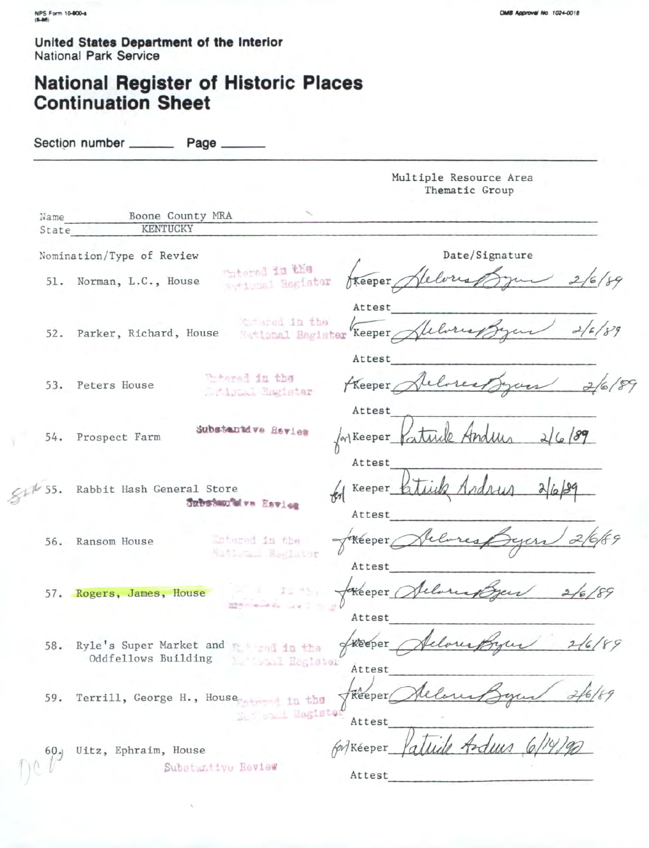NPS Form 10-000-4

**OMB Approval No. 1024-0018** 

United States Department of the Interior **National Park Service** 

# **National Register of Historic Places Continuation Sheet**

Section number \_\_\_\_\_\_\_\_\_\_ Page \_\_ Multiple Resource Area Thematic Group Boone County MRA Name KENTUCKY State Date/Signature Nomination/Type of Review Tutered in the 51. Norman, L.C., House Keeper Wettern1 Register Attest ttared in the Keeper 52. Parker, Richard, House Hatismal Ragister Attest n tered in the Keeper 53. Peters House Addin. Rogister Attest Substantdve Revies 54. Prospect Farm led Keeper Attest  $C_{\perp}$   $\uparrow$  55. Keeper Rabbit Hash General Store Substantialve Eavies Attest **Keeper** Entered in the 56. Ransom House Matheman Register Attest 57. Rogers, James, House 工业 Keeper  $225 -$ **County Street** Attest Keeper Ryle's Super Market and manufactual in the 58. Oddfellows Building 1 Tomll Neglater Attest Réeper 59. Terrill, George H., House<sub>rateral</sub> in the N. Republikasiste Attest  $\mu_{\ell}$ Kéeper 60. Uitz, Ephraim, House Substantive Royiew Attest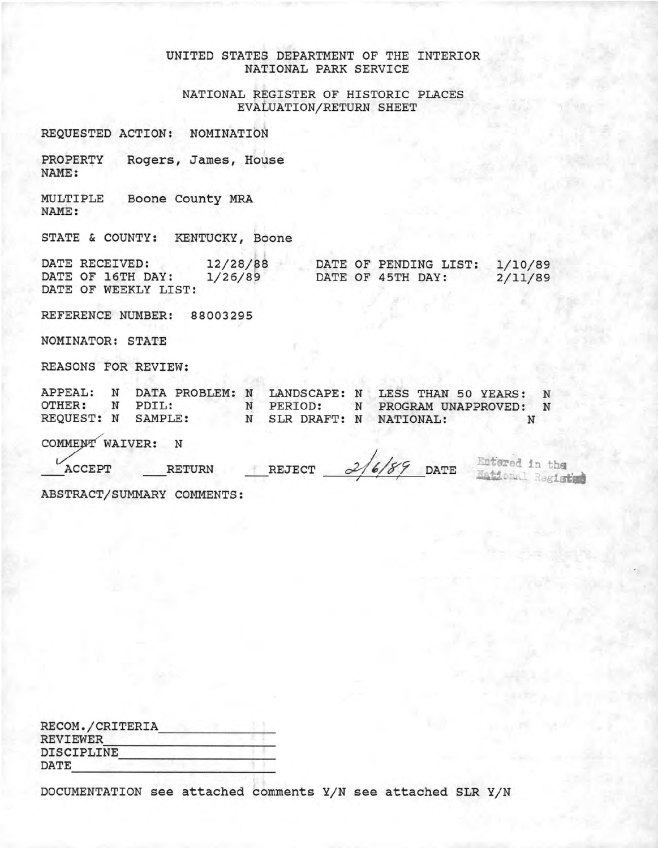## UNITED STATES DEPARTMENT OF THE INTERIOR NATIONAL PARK SERVICE

NATIONAL REGISTER OF HISTORIC PLACES<br>EVAILIATION/OFTION CHEET EVALUATION/RETURN SHEET

REQUESTED ACTION: NOMINATION

PROPERTY Rogers, James, House NAME:

MULTIPLE BOONE COUNTY MRA NAME:

STATE & COUNTY: KENTUCKY, Boone

DATE RECEIVED: 12/28/8<br>DATE OF 16TH DAV: 1/26/88 DATE OF 16TH DAY: 1/26/8<br>DATE OF WEEKIV ITST. DATE OF WEEKLY LIST: DATE OF PENDING LIST: 1/10/89 DATE OF 45TH DAY: 2/11/89

REFERENCE NUMBER: 88003295

NOMINATOR: STATE

REASONS FOR REVIEW:

APPEAL: N DATA PROBLEM: N LANDSCAPE: N LESS THAN 50 YEARS: N OTHER: N PDIL: N PERIOD: N PROGRAM UNAPPROVED: N OTHER: N PDIL:<br>DFOUFCT: N CAMDI REQUEST: N SAMPLE: DATA PROBLEM: N LANDSCAPE: N LESS THAN 50 YEARS:  $\frac{1}{N}$  $\ddot{\phantom{0}}$ PERIOD: N PROGRAM UNAPPROVED: N<br>CID DDAET. N NATIONAL. SLR DRAFT: N NATIONAL: N

COMMENT WAIVER: N

ACCEPT RETURN REJECT

6/89 DATE Entered in the

ABSTRACT/SUMMARY COMMENTS:

| RECOM./CRITERIA   |  |
|-------------------|--|
| <b>REVIEWER</b>   |  |
| <b>DISCIPLINE</b> |  |
| <b>DATE</b>       |  |
|                   |  |

DOCUMENTATION see attached comments Y/N see attached SLR Y/N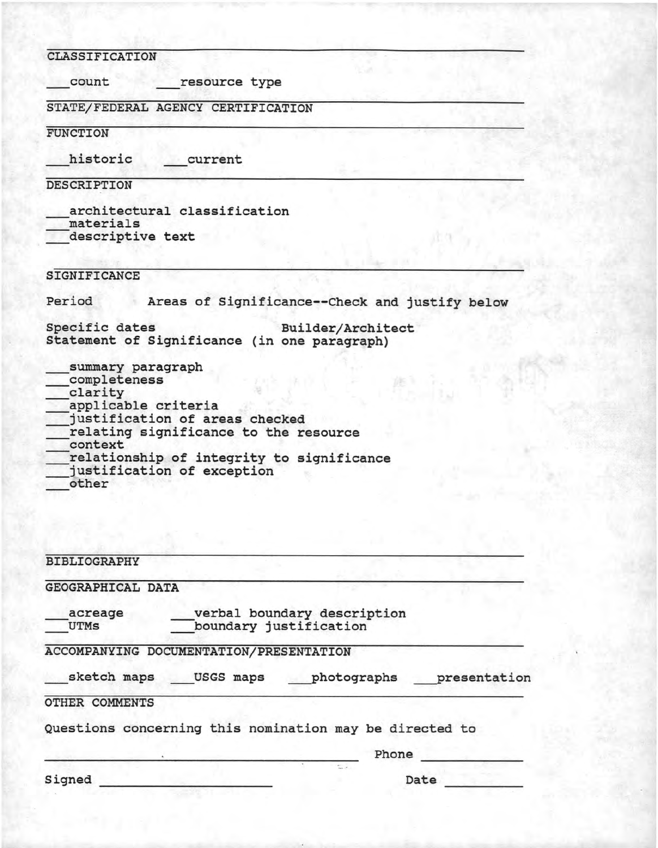# CLASSIFICATION

count resource type

STATE/FEDERAL AGENCY CERTIFICATION

FUNCTION

historic current

DESCRIPTION

architectural classification \_materials 'descriptive text

SIGNIFICANCE

Period Areas of Significance—Check and justify below

.1;

**r** *.Mi*

Specific dates Builder/Architect Statement of Significance (in one paragraph)

- summary paragraph
- completeness
- clarity
- 'applicable criteria
- justification of areas checked
- relating significance to the resource<br>context
- 
- context ^relationship of integrity to significance
- 'justification of exception
- 'other

| <b>BIBLIOGRAPHY</b>                                                                          |  |
|----------------------------------------------------------------------------------------------|--|
| GEOGRAPHICAL DATA                                                                            |  |
| verbal boundary description<br>acreage<br>boundary justification<br>UTMs                     |  |
| ACCOMPANYING DOCUMENTATION/PRESENTATION<br>sketch maps USGS maps<br>photographs presentation |  |
| OTHER COMMENTS                                                                               |  |
| Questions concerning this nomination may be directed to                                      |  |
| Phone                                                                                        |  |
| Signed<br>Date                                                                               |  |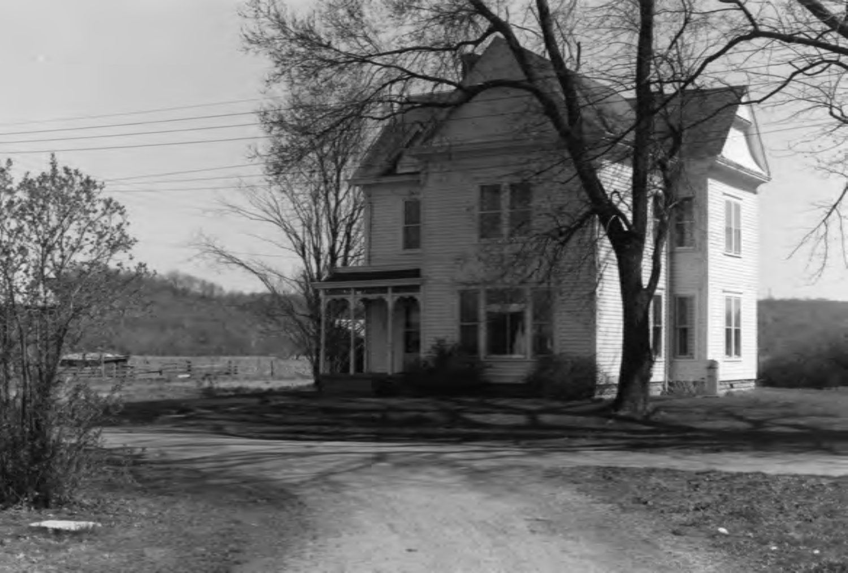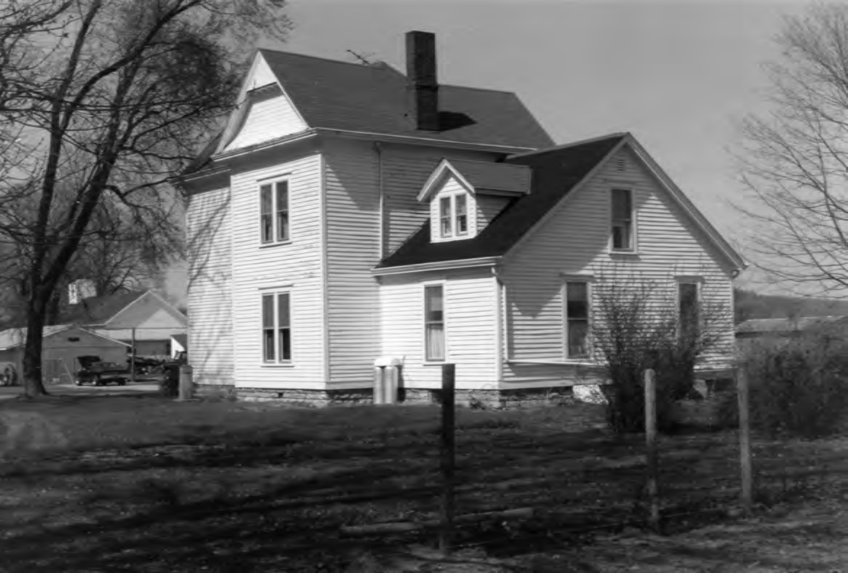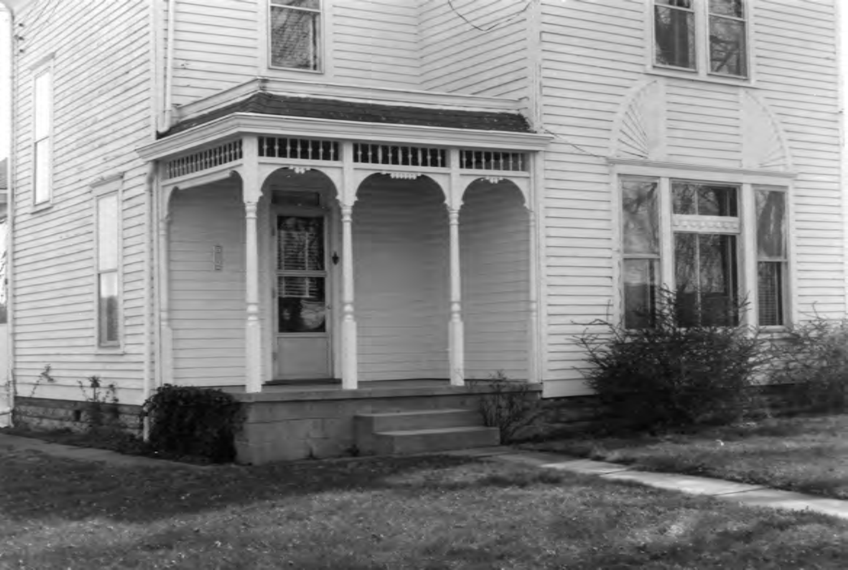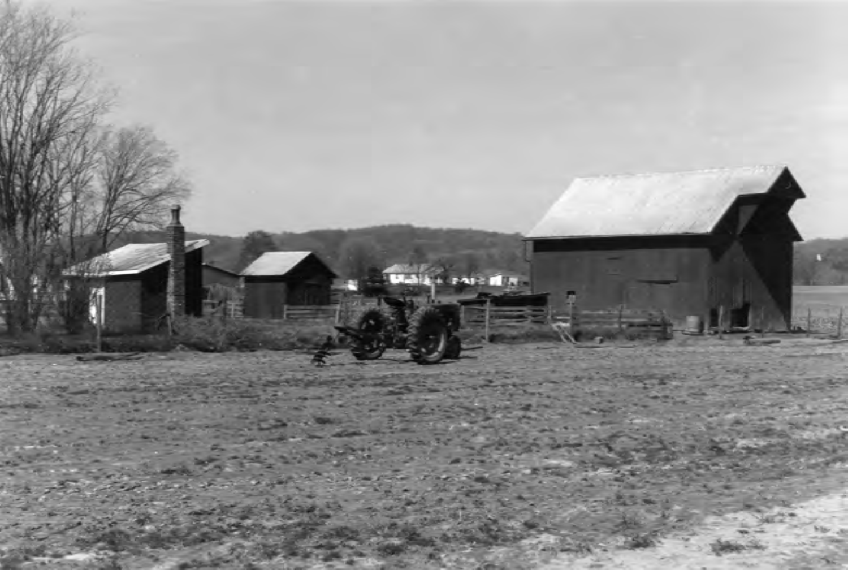